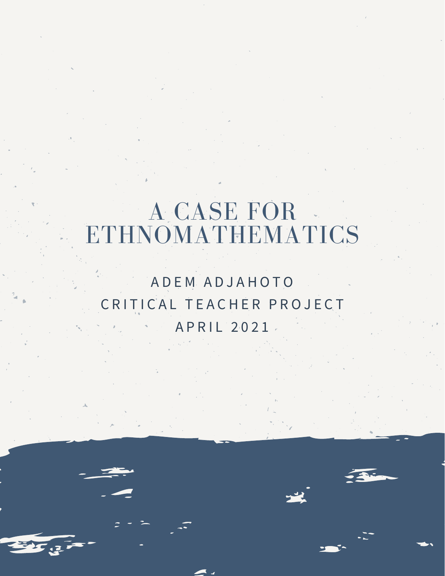## A CASE FOR ETHNOMATHEMATICS

## A D E M A D J A H O T O C R I T I C A L T E A C H E R P R O J E C T A P R I L 2 0 2 1

33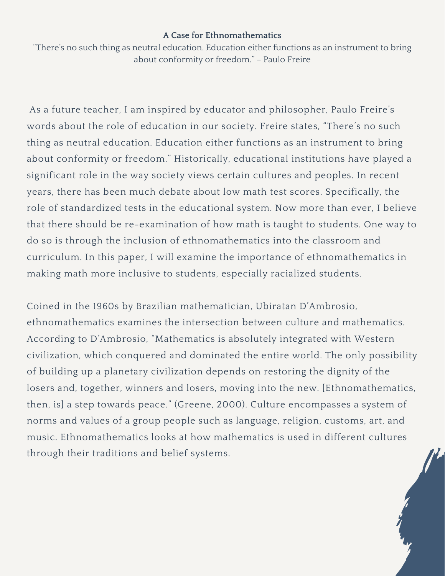## **A Case for Ethnomathematics**

"There's no such thing as neutral education. Education either functions as an instrument to bring about conformity or freedom." – Paulo Freire

As a future teacher, I am inspired by educator and philosopher, Paulo Freire's words about the role of education in our society. Freire states, "There's no such thing as neutral education. Education either functions as an instrument to bring about conformity or freedom." Historically, educational institutions have played a significant role in the way society views certain cultures and peoples. In recent years, there has been much debate about low math test scores. Specifically, the role of standardized tests in the educational system. Now more than ever, I believe that there should be re-examination of how math is taught to students. One way to do so is through the inclusion of ethnomathematics into the classroom and curriculum. In this paper, I will examine the importance of ethnomathematics in making math more inclusive to students, especially racialized students.

Coined in the 1960s by Brazilian mathematician, Ubiratan D'Ambrosio, ethnomathematics examines the intersection between culture and mathematics. According to D'Ambrosio, "Mathematics is absolutely integrated with Western civilization, which conquered and dominated the entire world. The only possibility of building up a planetary civilization depends on restoring the dignity of the losers and, together, winners and losers, moving into the new. [Ethnomathematics, then, is] a step towards peace." (Greene, 2000). Culture encompasses a system of norms and values of a group people such as language, religion, customs, art, and music. Ethnomathematics looks at how mathematics is used in different cultures through their traditions and belief systems.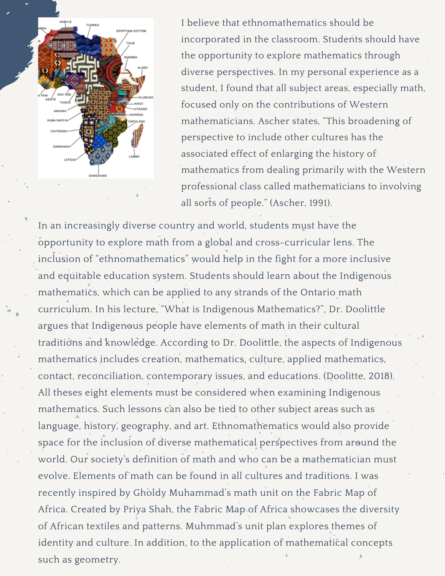

I believe that ethnomathematics should be incorporated in the classroom. Students should have the opportunity to explore mathematics through diverse perspectives. In my personal experience as a student, I found that all subject areas, especially math, focused only on the contributions of Western mathematicians. Ascher states, "This broadening of perspective to include other cultures has the associated effect of enlarging the history of mathematics from dealing primarily with the Western professional class called mathematicians to involving all sorts of people." (Ascher, 1991).

In an increasingly diverse country and world, students must have the opportunity to explore math from a global and cross-curricular lens. The inclusion of "ethnomathematics" would help in the fight for a more inclusive and equitable education system. Students should learn about the Indigenous mathematics, which can be applied to any strands of the Ontario math curriculum. In his lecture, "What is Indigenous Mathematics?", Dr. Doolittle argues that Indigenous people have elements of math in their cultural traditions and knowledge. According to Dr. Doolittle, the aspects of Indigenous mathematics includes creation, mathematics, culture, applied mathematics, contact, reconciliation, contemporary issues, and educations. (Doolitte, 2018). All theses eight elements must be considered when examining Indigenous mathematics. Such lessons can also be tied to other subject areas such as language, history, geography, and art. Ethnomathematics would also provide space for the inclusion of diverse mathematical perspectives from around the world. Our society's definition of math and who can be a mathematician must evolve. Elements of math can be found in all cultures and traditions. I was recently inspired by Gholdy Muhammad's math unit on the Fabric Map of Africa. Created by Priya Shah, the Fabric Map of Africa showcases the diversity of African textiles and patterns. Muhmmad's unit plan explores themes of identity and culture. In addition, to the application of mathematical concepts such as geometry.